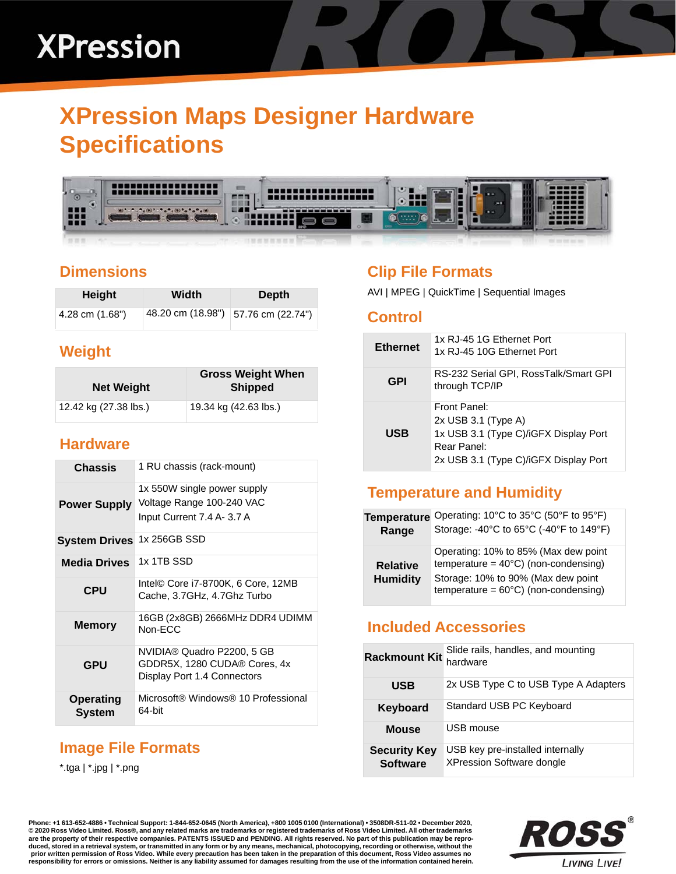# **XPression Maps Designer Hardware Specifications**



# **Dimensions**

| Height            | Width                               | Depth |
|-------------------|-------------------------------------|-------|
| 4.28 cm $(1.68")$ | 48.20 cm (18.98") 57.76 cm (22.74") |       |

# **Weight**

| <b>Net Weight</b>     | <b>Gross Weight When</b><br><b>Shipped</b> |
|-----------------------|--------------------------------------------|
| 12.42 kg (27.38 lbs.) | 19.34 kg (42.63 lbs.)                      |

## **Hardware**

| Chassis                    | 1 RU chassis (rack-mount)                                                                 |
|----------------------------|-------------------------------------------------------------------------------------------|
| <b>Power Supply</b>        | 1x 550W single power supply<br>Voltage Range 100-240 VAC<br>Input Current 7.4 A- 3.7 A    |
| <b>System Drives</b>       | 1x 256GB SSD                                                                              |
| <b>Media Drives</b>        | 1x 1TB SSD                                                                                |
| <b>CPU</b>                 | Intel <sup>©</sup> Core i7-8700K, 6 Core, 12MB<br>Cache, 3.7GHz, 4.7Ghz Turbo             |
| <b>Memory</b>              | 16GB (2x8GB) 2666MHz DDR4 UDIMM<br>Non-ECC                                                |
| <b>GPU</b>                 | NVIDIA® Quadro P2200, 5 GB<br>GDDR5X, 1280 CUDA® Cores, 4x<br>Display Port 1.4 Connectors |
| <b>Operating</b><br>System | Microsoft® Windows® 10 Professional<br>64-bit                                             |

# **Image File Formats**

\*.tga | \*.jpg | \*.png

# **Clip File Formats**

AVI | MPEG | QuickTime | Sequential Images

#### **Control**

| <b>Ethernet</b> | 1x RJ-45 1G Ethernet Port<br>1x RJ-45 10G Ethernet Port                                                                              |
|-----------------|--------------------------------------------------------------------------------------------------------------------------------------|
| GPI             | RS-232 Serial GPI, RossTalk/Smart GPI<br>through TCP/IP                                                                              |
| <b>USB</b>      | Front Panel:<br>2x USB 3.1 (Type A)<br>1x USB 3.1 (Type C)/iGFX Display Port<br>Rear Panel:<br>2x USB 3.1 (Type C)/iGFX Display Port |

# **Temperature and Humidity**

| <b>Temperature</b>                 | Operating: 10°C to 35°C (50°F to 95°F)                                                                                                                                         |
|------------------------------------|--------------------------------------------------------------------------------------------------------------------------------------------------------------------------------|
| Range                              | Storage: -40°C to 65°C (-40°F to 149°F)                                                                                                                                        |
| <b>Relative</b><br><b>Humidity</b> | Operating: 10% to 85% (Max dew point<br>temperature = $40^{\circ}$ C) (non-condensing)<br>Storage: 10% to 90% (Max dew point<br>temperature = $60^{\circ}$ C) (non-condensing) |

## **Included Accessories**

| <b>Rackmount Kit</b>                   | Slide rails, handles, and mounting<br>hardware                       |
|----------------------------------------|----------------------------------------------------------------------|
| <b>USB</b>                             | 2x USB Type C to USB Type A Adapters                                 |
| Keyboard                               | Standard USB PC Keyboard                                             |
| Mouse                                  | USB mouse                                                            |
| <b>Security Key</b><br><b>Software</b> | USB key pre-installed internally<br><b>XPression Software dongle</b> |

**Phone: +1 613-652-4886 • Technical Support: 1-844-652-0645 (North America), +800 1005 0100 (International) • 3508DR-511-02 • December 2020, © 2020 Ross Video Limited. Ross®, and any related marks are trademarks or registered trademarks of Ross Video Limited. All other trademarks are the property of their respective companies. PATENTS ISSUED and PENDING. All rights reserved. No part of this publication may be repro**duced, stored in a retrieval system, or transmitted in any form or by any means, mechanical, photocopying, recording or otherwise, without the<br>prior written permission of Ross Video. While every precaution has been taken i